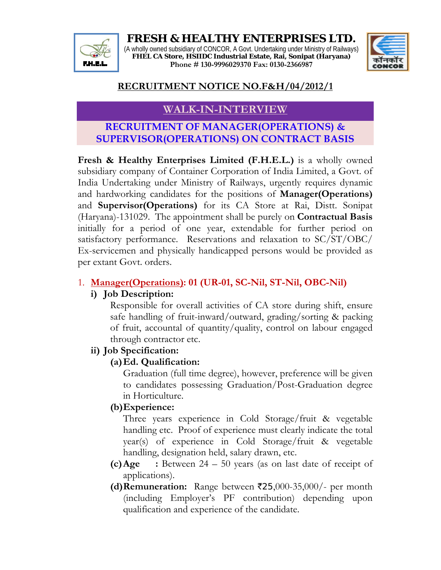**FRESH & HEALTHY ENTERPRISES LTD.**  (A wholly owned subsidiary of CONCOR, A Govt. Undertaking under Ministry of Railways) **FHEL CA Store, HSIIDC Industrial Estate, Rai, Sonipat (Haryana) Phone # 130-9996029370 Fax: 0130-2366987**



## **RECRUITMENT NOTICE NO.F&H/04/2012/1**

# **WALK-IN-INTERVIEW**

## **RECRUITMENT OF MANAGER(OPERATIONS) & SUPERVISOR(OPERATIONS) ON CONTRACT BASIS**

**Fresh & Healthy Enterprises Limited (F.H.E.L.)** is a wholly owned subsidiary company of Container Corporation of India Limited, a Govt. of India Undertaking under Ministry of Railways, urgently requires dynamic and hardworking candidates for the positions of **Manager(Operations)** and **Supervisor(Operations)** for its CA Store at Rai, Distt. Sonipat (Haryana)-131029. The appointment shall be purely on **Contractual Basis** initially for a period of one year, extendable for further period on satisfactory performance. Reservations and relaxation to SC/ST/OBC/ Ex-servicemen and physically handicapped persons would be provided as per extant Govt. orders.

## 1. **Manager(Operations): 01 (UR-01, SC-Nil, ST-Nil, OBC-Nil)**

#### **i) Job Description:**

Responsible for overall activities of CA store during shift, ensure safe handling of fruit-inward/outward, grading/sorting & packing of fruit, accountal of quantity/quality, control on labour engaged through contractor etc.

#### **ii) Job Specification:**

#### **(a)Ed. Qualification:**

Graduation (full time degree), however, preference will be given to candidates possessing Graduation/Post-Graduation degree in Horticulture.

#### **(b)Experience:**

Three years experience in Cold Storage/fruit & vegetable handling etc. Proof of experience must clearly indicate the total year(s) of experience in Cold Storage/fruit & vegetable handling, designation held, salary drawn, etc.

- **(c)Age :** Between 24 50 years (as on last date of receipt of applications).
- **(d)Remuneration:** Range between `25,000-35,000/- per month (including Employer's PF contribution) depending upon qualification and experience of the candidate.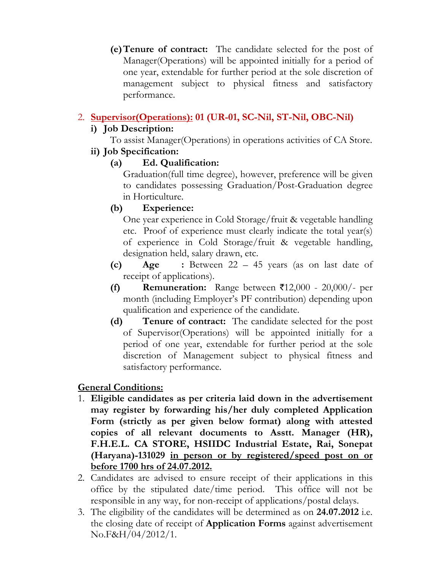**(e)Tenure of contract:** The candidate selected for the post of Manager(Operations) will be appointed initially for a period of one year, extendable for further period at the sole discretion of management subject to physical fitness and satisfactory performance.

#### 2. **Supervisor(Operations): 01 (UR-01, SC-Nil, ST-Nil, OBC-Nil)**

## **i) Job Description:**

To assist Manager(Operations) in operations activities of CA Store.

#### **ii) Job Specification:**

#### **(a) Ed. Qualification:**

Graduation(full time degree), however, preference will be given to candidates possessing Graduation/Post-Graduation degree in Horticulture.

## **(b) Experience:**

One year experience in Cold Storage/fruit & vegetable handling etc. Proof of experience must clearly indicate the total year(s) of experience in Cold Storage/fruit & vegetable handling, designation held, salary drawn, etc.

- **(c) Age :** Between 22 45 years (as on last date of receipt of applications).
- **(f) Remuneration:** Range between  $\bar{\tau}$ 12,000 20,000/- per month (including Employer's PF contribution) depending upon qualification and experience of the candidate.
- **(d) Tenure of contract:** The candidate selected for the post of Supervisor(Operations) will be appointed initially for a period of one year, extendable for further period at the sole discretion of Management subject to physical fitness and satisfactory performance.

#### **General Conditions:**

- 1. **Eligible candidates as per criteria laid down in the advertisement may register by forwarding his/her duly completed Application Form (strictly as per given below format) along with attested copies of all relevant documents to Asstt. Manager (HR), F.H.E.L. CA STORE, HSIIDC Industrial Estate, Rai, Sonepat (Haryana)-131029 in person or by registered/speed post on or before 1700 hrs of 24.07.2012.**
- 2. Candidates are advised to ensure receipt of their applications in this office by the stipulated date/time period. This office will not be responsible in any way, for non-receipt of applications/postal delays.
- 3. The eligibility of the candidates will be determined as on **24.07.2012** i.e. the closing date of receipt of **Application Forms** against advertisement No.F&H/04/2012/1.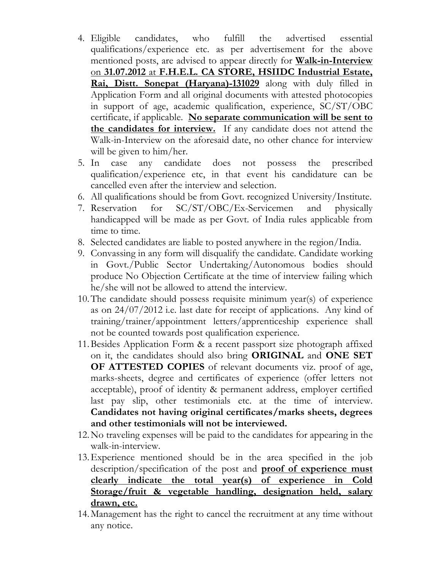- 4. Eligible candidates, who fulfill the advertised essential qualifications/experience etc. as per advertisement for the above mentioned posts, are advised to appear directly for **Walk-in-Interview** on **31.07.2012** at **F.H.E.L. CA STORE, HSIIDC Industrial Estate, Rai, Distt. Sonepat (Haryana)-131029** along with duly filled in Application Form and all original documents with attested photocopies in support of age, academic qualification, experience, SC/ST/OBC certificate, if applicable. **No separate communication will be sent to the candidates for interview.** If any candidate does not attend the Walk-in-Interview on the aforesaid date, no other chance for interview will be given to him/her.
- 5. In case any candidate does not possess the prescribed qualification/experience etc, in that event his candidature can be cancelled even after the interview and selection.
- 6. All qualifications should be from Govt. recognized University/Institute.
- 7. Reservation for SC/ST/OBC/Ex-Servicemen and physically handicapped will be made as per Govt. of India rules applicable from time to time.
- 8. Selected candidates are liable to posted anywhere in the region/India.
- 9. Convassing in any form will disqualify the candidate. Candidate working in Govt./Public Sector Undertaking/Autonomous bodies should produce No Objection Certificate at the time of interview failing which he/she will not be allowed to attend the interview.
- 10.The candidate should possess requisite minimum year(s) of experience as on 24/07/2012 i.e. last date for receipt of applications. Any kind of training/trainer/appointment letters/apprenticeship experience shall not be counted towards post qualification experience.
- 11.Besides Application Form & a recent passport size photograph affixed on it, the candidates should also bring **ORIGINAL** and **ONE SET OF ATTESTED COPIES** of relevant documents viz. proof of age, marks-sheets, degree and certificates of experience (offer letters not acceptable), proof of identity & permanent address, employer certified last pay slip, other testimonials etc. at the time of interview. **Candidates not having original certificates/marks sheets, degrees and other testimonials will not be interviewed.**
- 12.No traveling expenses will be paid to the candidates for appearing in the walk-in-interview.
- 13.Experience mentioned should be in the area specified in the job description/specification of the post and **proof of experience must clearly indicate the total year(s) of experience in Cold Storage/fruit & vegetable handling, designation held, salary drawn, etc.**
- 14.Management has the right to cancel the recruitment at any time without any notice.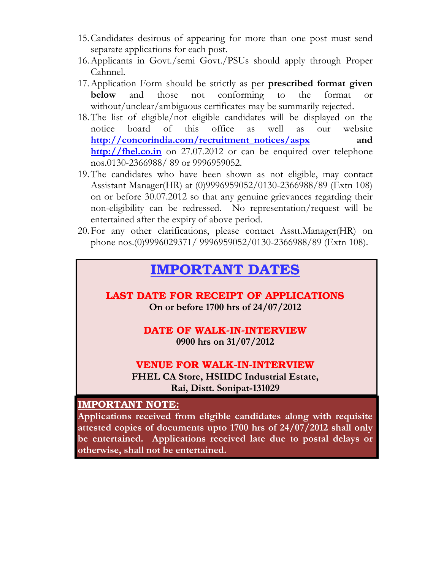- 15.Candidates desirous of appearing for more than one post must send separate applications for each post.
- 16.Applicants in Govt./semi Govt./PSUs should apply through Proper Cahnnel.
- 17.Application Form should be strictly as per **prescribed format given below** and those not conforming to the format or without/unclear/ambiguous certificates may be summarily rejected.
- 18.The list of eligible/not eligible candidates will be displayed on the notice board of this office as well as our website **http://concorindia.com/recruitment\_notices/aspx and http://fhel.co.in** on 27.07.2012 or can be enquired over telephone nos.0130-2366988/ 89 or 9996959052.
- 19.The candidates who have been shown as not eligible, may contact Assistant Manager(HR) at (0)9996959052/0130-2366988/89 (Extn 108) on or before 30.07.2012 so that any genuine grievances regarding their non-eligibility can be redressed. No representation/request will be entertained after the expiry of above period.
- 20.For any other clarifications, please contact Asstt.Manager(HR) on phone nos.(0)9996029371/ 9996959052/0130-2366988/89 (Extn 108).

# **IMPORTANT DATES**

**LAST DATE FOR RECEIPT OF APPLICATIONS On or before 1700 hrs of 24/07/2012** 

#### **DATE OF WALK-IN-INTERVIEW 0900 hrs on 31/07/2012**

#### **VENUE FOR WALK-IN-INTERVIEW**

**FHEL CA Store, HSIIDC Industrial Estate, Rai, Distt. Sonipat-131029** 

#### **IMPORTANT NOTE:**

**Applications received from eligible candidates along with requisite attested copies of documents upto 1700 hrs of 24/07/2012 shall only be entertained. Applications received late due to postal delays or otherwise, shall not be entertained.**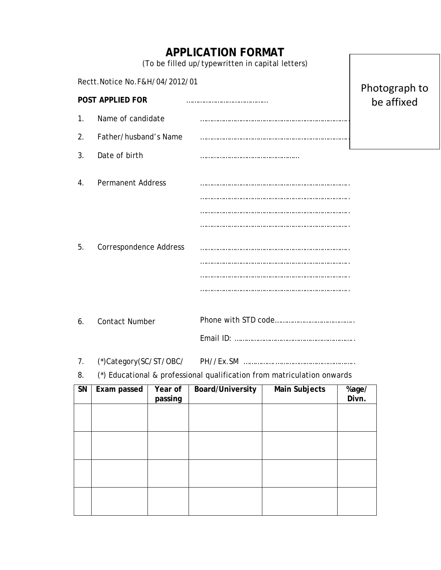|                             |                                |                    | <b>APPLICATION FORMAT</b><br>(To be filled up/typewritten in capital letters) |               |                |  |
|-----------------------------|--------------------------------|--------------------|-------------------------------------------------------------------------------|---------------|----------------|--|
|                             | Rectt.Notice No.F&H/04/2012/01 |                    | Photograph to                                                                 |               |                |  |
|                             | POST APPLIED FOR               |                    | be affixed                                                                    |               |                |  |
| $\mathbf{1}$ .              | Name of candidate              |                    |                                                                               |               |                |  |
| 2.                          | Father/husband's Name          |                    |                                                                               |               |                |  |
| 3.                          | Date of birth                  |                    |                                                                               |               |                |  |
| 4.                          | <b>Permanent Address</b>       |                    |                                                                               |               |                |  |
|                             |                                |                    |                                                                               |               |                |  |
|                             |                                |                    |                                                                               |               |                |  |
| 5.                          | <b>Correspondence Address</b>  |                    |                                                                               |               |                |  |
|                             |                                |                    |                                                                               |               |                |  |
|                             |                                |                    |                                                                               |               |                |  |
|                             |                                |                    |                                                                               |               |                |  |
| <b>Contact Number</b><br>6. |                                |                    |                                                                               |               |                |  |
|                             |                                |                    |                                                                               |               |                |  |
| 7.                          | (*)Category(SC/ST/OBC/         |                    |                                                                               |               |                |  |
| 8.                          |                                |                    | (*) Educational & professional qualification from matriculation onwards       |               |                |  |
| SN                          | Exam passed                    | Year of<br>passing | Board/University                                                              | Main Subjects | %age/<br>Divn. |  |
|                             |                                |                    |                                                                               |               |                |  |
|                             |                                |                    |                                                                               |               |                |  |
|                             |                                |                    |                                                                               |               |                |  |
|                             |                                |                    |                                                                               |               |                |  |
|                             |                                |                    |                                                                               |               |                |  |
|                             |                                |                    |                                                                               |               |                |  |